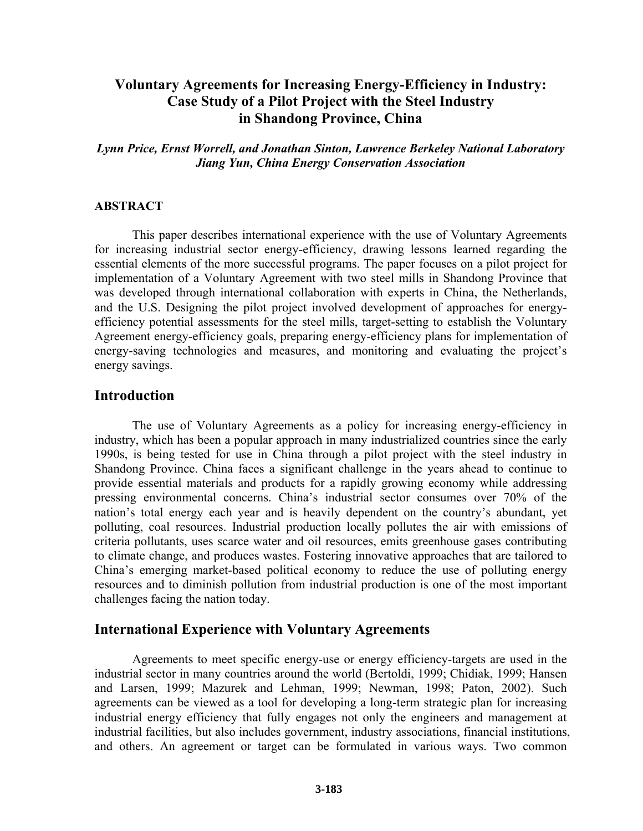# **Voluntary Agreements for Increasing Energy-Efficiency in Industry: Case Study of a Pilot Project with the Steel Industry in Shandong Province, China**

*Lynn Price, Ernst Worrell, and Jonathan Sinton, Lawrence Berkeley National Laboratory Jiang Yun, China Energy Conservation Association*

#### **ABSTRACT**

This paper describes international experience with the use of Voluntary Agreements for increasing industrial sector energy-efficiency, drawing lessons learned regarding the essential elements of the more successful programs. The paper focuses on a pilot project for implementation of a Voluntary Agreement with two steel mills in Shandong Province that was developed through international collaboration with experts in China, the Netherlands, and the U.S. Designing the pilot project involved development of approaches for energyefficiency potential assessments for the steel mills, target-setting to establish the Voluntary Agreement energy-efficiency goals, preparing energy-efficiency plans for implementation of energy-saving technologies and measures, and monitoring and evaluating the project's energy savings.

### **Introduction**

The use of Voluntary Agreements as a policy for increasing energy-efficiency in industry, which has been a popular approach in many industrialized countries since the early 1990s, is being tested for use in China through a pilot project with the steel industry in Shandong Province. China faces a significant challenge in the years ahead to continue to provide essential materials and products for a rapidly growing economy while addressing pressing environmental concerns. China's industrial sector consumes over 70% of the nation's total energy each year and is heavily dependent on the country's abundant, yet polluting, coal resources. Industrial production locally pollutes the air with emissions of criteria pollutants, uses scarce water and oil resources, emits greenhouse gases contributing to climate change, and produces wastes. Fostering innovative approaches that are tailored to Chinaís emerging market-based political economy to reduce the use of polluting energy resources and to diminish pollution from industrial production is one of the most important challenges facing the nation today.

### **International Experience with Voluntary Agreements**

Agreements to meet specific energy-use or energy efficiency-targets are used in the industrial sector in many countries around the world (Bertoldi, 1999; Chidiak, 1999; Hansen and Larsen, 1999; Mazurek and Lehman, 1999; Newman, 1998; Paton, 2002). Such agreements can be viewed as a tool for developing a long-term strategic plan for increasing industrial energy efficiency that fully engages not only the engineers and management at industrial facilities, but also includes government, industry associations, financial institutions, and others. An agreement or target can be formulated in various ways. Two common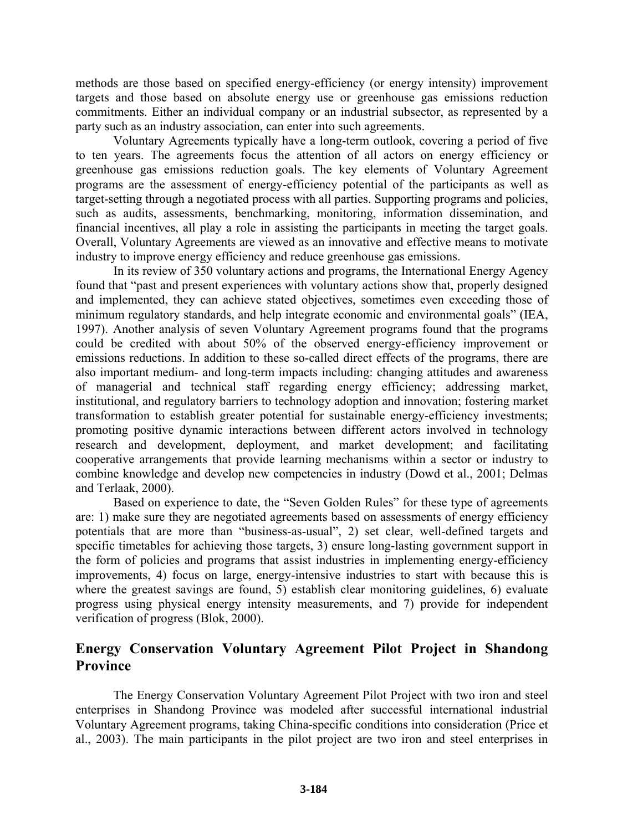methods are those based on specified energy-efficiency (or energy intensity) improvement targets and those based on absolute energy use or greenhouse gas emissions reduction commitments. Either an individual company or an industrial subsector, as represented by a party such as an industry association, can enter into such agreements.

Voluntary Agreements typically have a long-term outlook, covering a period of five to ten years. The agreements focus the attention of all actors on energy efficiency or greenhouse gas emissions reduction goals. The key elements of Voluntary Agreement programs are the assessment of energy-efficiency potential of the participants as well as target-setting through a negotiated process with all parties. Supporting programs and policies, such as audits, assessments, benchmarking, monitoring, information dissemination, and financial incentives, all play a role in assisting the participants in meeting the target goals. Overall, Voluntary Agreements are viewed as an innovative and effective means to motivate industry to improve energy efficiency and reduce greenhouse gas emissions.

In its review of 350 voluntary actions and programs, the International Energy Agency found that "past and present experiences with voluntary actions show that, properly designed and implemented, they can achieve stated objectives, sometimes even exceeding those of minimum regulatory standards, and help integrate economic and environmental goals" (IEA, 1997). Another analysis of seven Voluntary Agreement programs found that the programs could be credited with about 50% of the observed energy-efficiency improvement or emissions reductions. In addition to these so-called direct effects of the programs, there are also important medium- and long-term impacts including: changing attitudes and awareness of managerial and technical staff regarding energy efficiency; addressing market, institutional, and regulatory barriers to technology adoption and innovation; fostering market transformation to establish greater potential for sustainable energy-efficiency investments; promoting positive dynamic interactions between different actors involved in technology research and development, deployment, and market development; and facilitating cooperative arrangements that provide learning mechanisms within a sector or industry to combine knowledge and develop new competencies in industry (Dowd et al., 2001; Delmas and Terlaak, 2000).

Based on experience to date, the "Seven Golden Rules" for these type of agreements are: 1) make sure they are negotiated agreements based on assessments of energy efficiency potentials that are more than "business-as-usual", 2) set clear, well-defined targets and specific timetables for achieving those targets, 3) ensure long-lasting government support in the form of policies and programs that assist industries in implementing energy-efficiency improvements, 4) focus on large, energy-intensive industries to start with because this is where the greatest savings are found, 5) establish clear monitoring guidelines, 6) evaluate progress using physical energy intensity measurements, and 7) provide for independent verification of progress (Blok, 2000).

# **Energy Conservation Voluntary Agreement Pilot Project in Shandong Province**

The Energy Conservation Voluntary Agreement Pilot Project with two iron and steel enterprises in Shandong Province was modeled after successful international industrial Voluntary Agreement programs, taking China-specific conditions into consideration (Price et al., 2003). The main participants in the pilot project are two iron and steel enterprises in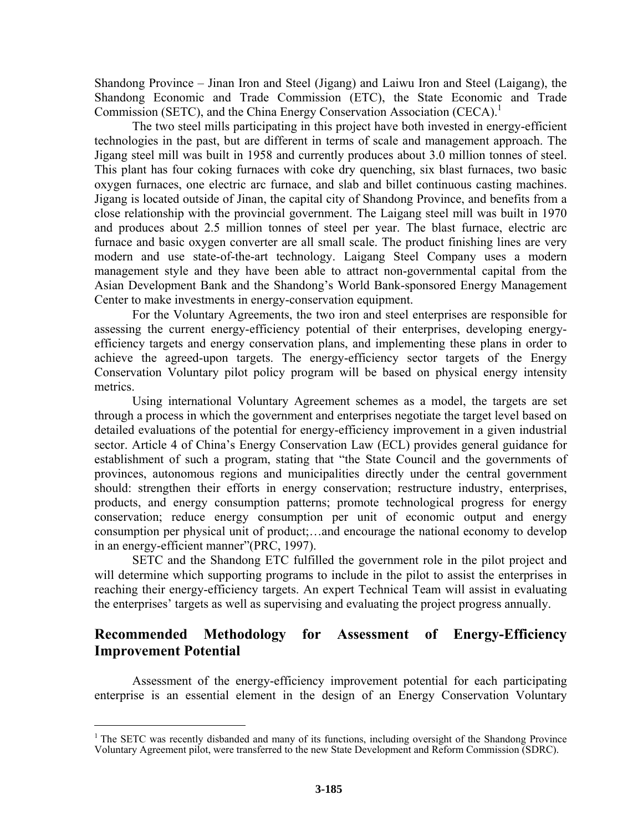Shandong Province – Jinan Iron and Steel (Jigang) and Laiwu Iron and Steel (Laigang), the Shandong Economic and Trade Commission (ETC), the State Economic and Trade Commission (SETC), and the China Energy Conservation Association (CECA).<sup>1</sup>

The two steel mills participating in this project have both invested in energy-efficient technologies in the past, but are different in terms of scale and management approach. The Jigang steel mill was built in 1958 and currently produces about 3.0 million tonnes of steel. This plant has four coking furnaces with coke dry quenching, six blast furnaces, two basic oxygen furnaces, one electric arc furnace, and slab and billet continuous casting machines. Jigang is located outside of Jinan, the capital city of Shandong Province, and benefits from a close relationship with the provincial government. The Laigang steel mill was built in 1970 and produces about 2.5 million tonnes of steel per year. The blast furnace, electric arc furnace and basic oxygen converter are all small scale. The product finishing lines are very modern and use state-of-the-art technology. Laigang Steel Company uses a modern management style and they have been able to attract non-governmental capital from the Asian Development Bank and the Shandongís World Bank-sponsored Energy Management Center to make investments in energy-conservation equipment.

For the Voluntary Agreements, the two iron and steel enterprises are responsible for assessing the current energy-efficiency potential of their enterprises, developing energyefficiency targets and energy conservation plans, and implementing these plans in order to achieve the agreed-upon targets. The energy-efficiency sector targets of the Energy Conservation Voluntary pilot policy program will be based on physical energy intensity metrics.

Using international Voluntary Agreement schemes as a model, the targets are set through a process in which the government and enterprises negotiate the target level based on detailed evaluations of the potential for energy-efficiency improvement in a given industrial sector. Article 4 of China's Energy Conservation Law (ECL) provides general guidance for establishment of such a program, stating that "the State Council and the governments of provinces, autonomous regions and municipalities directly under the central government should: strengthen their efforts in energy conservation; restructure industry, enterprises, products, and energy consumption patterns; promote technological progress for energy conservation; reduce energy consumption per unit of economic output and energy consumption per physical unit of product;...and encourage the national economy to develop in an energy-efficient manner" (PRC, 1997).

SETC and the Shandong ETC fulfilled the government role in the pilot project and will determine which supporting programs to include in the pilot to assist the enterprises in reaching their energy-efficiency targets. An expert Technical Team will assist in evaluating the enterprises' targets as well as supervising and evaluating the project progress annually.

# **Recommended Methodology for Assessment of Energy-Efficiency Improvement Potential**

Assessment of the energy-efficiency improvement potential for each participating enterprise is an essential element in the design of an Energy Conservation Voluntary

1

<sup>&</sup>lt;sup>1</sup> The SETC was recently disbanded and many of its functions, including oversight of the Shandong Province Voluntary Agreement pilot, were transferred to the new State Development and Reform Commission (SDRC).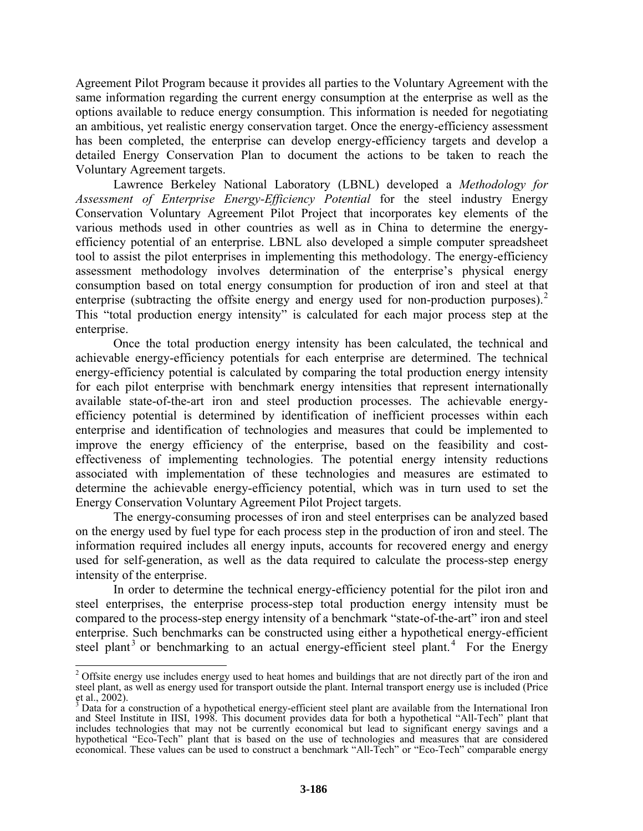Agreement Pilot Program because it provides all parties to the Voluntary Agreement with the same information regarding the current energy consumption at the enterprise as well as the options available to reduce energy consumption. This information is needed for negotiating an ambitious, yet realistic energy conservation target. Once the energy-efficiency assessment has been completed, the enterprise can develop energy-efficiency targets and develop a detailed Energy Conservation Plan to document the actions to be taken to reach the Voluntary Agreement targets.

Lawrence Berkeley National Laboratory (LBNL) developed a *Methodology for Assessment of Enterprise Energy-Efficiency Potential* for the steel industry Energy Conservation Voluntary Agreement Pilot Project that incorporates key elements of the various methods used in other countries as well as in China to determine the energyefficiency potential of an enterprise. LBNL also developed a simple computer spreadsheet tool to assist the pilot enterprises in implementing this methodology. The energy-efficiency assessment methodology involves determination of the enterprise's physical energy consumption based on total energy consumption for production of iron and steel at that enterprise (subtracting the offsite energy and energy used for non-production purposes).<sup>2</sup> This "total production energy intensity" is calculated for each major process step at the enterprise.

Once the total production energy intensity has been calculated, the technical and achievable energy-efficiency potentials for each enterprise are determined. The technical energy-efficiency potential is calculated by comparing the total production energy intensity for each pilot enterprise with benchmark energy intensities that represent internationally available state-of-the-art iron and steel production processes. The achievable energyefficiency potential is determined by identification of inefficient processes within each enterprise and identification of technologies and measures that could be implemented to improve the energy efficiency of the enterprise, based on the feasibility and costeffectiveness of implementing technologies. The potential energy intensity reductions associated with implementation of these technologies and measures are estimated to determine the achievable energy-efficiency potential, which was in turn used to set the Energy Conservation Voluntary Agreement Pilot Project targets.

The energy-consuming processes of iron and steel enterprises can be analyzed based on the energy used by fuel type for each process step in the production of iron and steel. The information required includes all energy inputs, accounts for recovered energy and energy used for self-generation, as well as the data required to calculate the process-step energy intensity of the enterprise.

In order to determine the technical energy-efficiency potential for the pilot iron and steel enterprises, the enterprise process-step total production energy intensity must be compared to the process-step energy intensity of a benchmark "state-of-the-art" iron and steel enterprise. Such benchmarks can be constructed using either a hypothetical energy-efficient steel plant<sup>3</sup> or benchmarking to an actual energy-efficient steel plant.<sup>4</sup> For the Energy

<sup>&</sup>lt;sup>2</sup> Offsite energy use includes energy used to heat homes and buildings that are not directly part of the iron and steel plant, as well as energy used for transport outside the plant. Internal transport energy use is included (Price et al., 2002).<br><sup>3</sup> Data for a *s* 

Data for a construction of a hypothetical energy-efficient steel plant are available from the International Iron and Steel Institute in IISI, 1998. This document provides data for both a hypothetical "All-Tech" plant that includes technologies that may not be currently economical but lead to significant energy savings and a hypothetical "Eco-Tech" plant that is based on the use of technologies and measures that are considered economical. These values can be used to construct a benchmark "All-Tech" or "Eco-Tech" comparable energy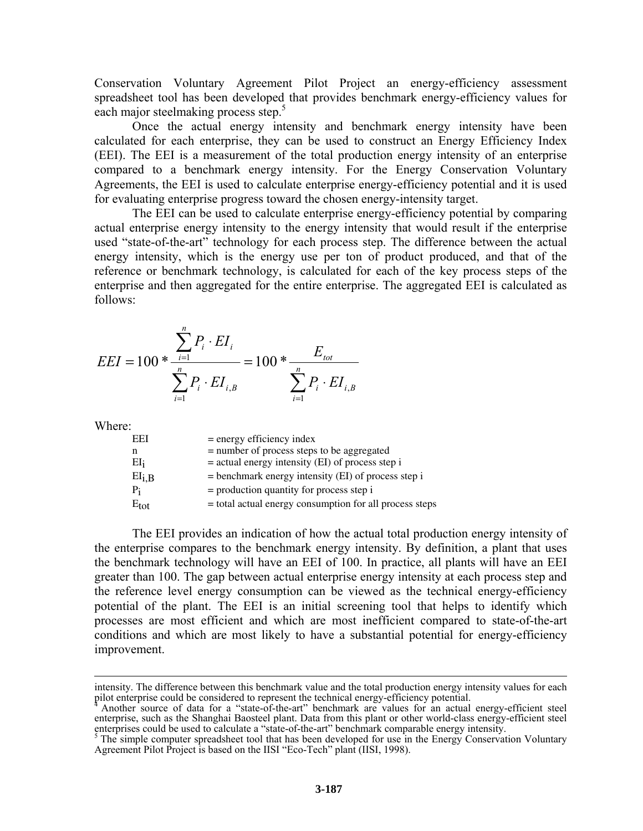Conservation Voluntary Agreement Pilot Project an energy-efficiency assessment spreadsheet tool has been developed that provides benchmark energy-efficiency values for each major steelmaking process step.<sup>5</sup>

Once the actual energy intensity and benchmark energy intensity have been calculated for each enterprise, they can be used to construct an Energy Efficiency Index (EEI). The EEI is a measurement of the total production energy intensity of an enterprise compared to a benchmark energy intensity. For the Energy Conservation Voluntary Agreements, the EEI is used to calculate enterprise energy-efficiency potential and it is used for evaluating enterprise progress toward the chosen energy-intensity target.

The EEI can be used to calculate enterprise energy-efficiency potential by comparing actual enterprise energy intensity to the energy intensity that would result if the enterprise used "state-of-the-art" technology for each process step. The difference between the actual energy intensity, which is the energy use per ton of product produced, and that of the reference or benchmark technology, is calculated for each of the key process steps of the enterprise and then aggregated for the entire enterprise. The aggregated EEI is calculated as follows:

$$
EEI = 100 * \frac{\sum_{i=1}^{n} P_i \cdot EI_i}{\sum_{i=1}^{n} P_i \cdot EI_{i,B}} = 100 * \frac{E_{tot}}{\sum_{i=1}^{n} P_i \cdot EI_{i,B}}
$$

Where:

| EEI           | $=$ energy efficiency index                             |
|---------------|---------------------------------------------------------|
| n             | = number of process steps to be aggregated              |
| EI;           | $=$ actual energy intensity (EI) of process step i      |
| $EI_{i,B}$    | $=$ benchmark energy intensity (EI) of process step i   |
| $P_i$         | $=$ production quantity for process step i              |
| $E_{\rm tot}$ | = total actual energy consumption for all process steps |

The EEI provides an indication of how the actual total production energy intensity of the enterprise compares to the benchmark energy intensity. By definition, a plant that uses the benchmark technology will have an EEI of 100. In practice, all plants will have an EEI greater than 100. The gap between actual enterprise energy intensity at each process step and the reference level energy consumption can be viewed as the technical energy-efficiency potential of the plant. The EEI is an initial screening tool that helps to identify which processes are most efficient and which are most inefficient compared to state-of-the-art conditions and which are most likely to have a substantial potential for energy-efficiency improvement.

intensity. The difference between this benchmark value and the total production energy intensity values for each

pilot enterprise could be considered to represent the technical energy-efficiency potential.<br><sup>4</sup> Another source of data for a "state-of-the-art" benchmark are values for an actual energy-efficient steel enterprise, such as the Shanghai Baosteel plant. Data from this plant or other world-class energy-efficient steel enterprises could be used to calculate a "state-of-the-art" benchmark comparable energy intensity.<br><sup>5</sup> The simple computer spreadsheet tool that has been developed for use in the Energy Conservation Voluntary

Agreement Pilot Project is based on the IISI "Eco-Tech" plant (IISI, 1998).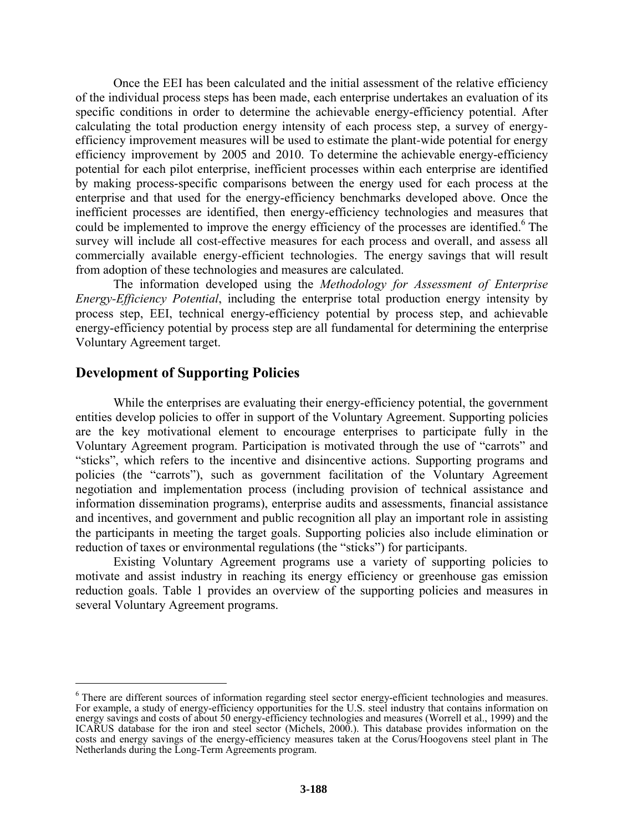Once the EEI has been calculated and the initial assessment of the relative efficiency of the individual process steps has been made, each enterprise undertakes an evaluation of its specific conditions in order to determine the achievable energy-efficiency potential. After calculating the total production energy intensity of each process step, a survey of energyefficiency improvement measures will be used to estimate the plant-wide potential for energy efficiency improvement by 2005 and 2010. To determine the achievable energy-efficiency potential for each pilot enterprise, inefficient processes within each enterprise are identified by making process-specific comparisons between the energy used for each process at the enterprise and that used for the energy-efficiency benchmarks developed above. Once the inefficient processes are identified, then energy-efficiency technologies and measures that could be implemented to improve the energy efficiency of the processes are identified.<sup>6</sup> The survey will include all cost-effective measures for each process and overall, and assess all commercially available energy-efficient technologies. The energy savings that will result from adoption of these technologies and measures are calculated.

The information developed using the *Methodology for Assessment of Enterprise Energy-Efficiency Potential*, including the enterprise total production energy intensity by process step, EEI, technical energy-efficiency potential by process step, and achievable energy-efficiency potential by process step are all fundamental for determining the enterprise Voluntary Agreement target.

### **Development of Supporting Policies**

 $\overline{a}$ 

While the enterprises are evaluating their energy-efficiency potential, the government entities develop policies to offer in support of the Voluntary Agreement. Supporting policies are the key motivational element to encourage enterprises to participate fully in the Voluntary Agreement program. Participation is motivated through the use of "carrots" and ìsticksî, which refers to the incentive and disincentive actions. Supporting programs and policies (the "carrots"), such as government facilitation of the Voluntary Agreement negotiation and implementation process (including provision of technical assistance and information dissemination programs), enterprise audits and assessments, financial assistance and incentives, and government and public recognition all play an important role in assisting the participants in meeting the target goals. Supporting policies also include elimination or reduction of taxes or environmental regulations (the "sticks") for participants.

Existing Voluntary Agreement programs use a variety of supporting policies to motivate and assist industry in reaching its energy efficiency or greenhouse gas emission reduction goals. Table 1 provides an overview of the supporting policies and measures in several Voluntary Agreement programs.

<sup>&</sup>lt;sup>6</sup> There are different sources of information regarding steel sector energy-efficient technologies and measures. For example, a study of energy-efficiency opportunities for the U.S. steel industry that contains information on energy savings and costs of about 50 energy-efficiency technologies and measures (Worrell et al., 1999) and the ICARUS database for the iron and steel sector (Michels, 2000.). This database provides information on the costs and energy savings of the energy-efficiency measures taken at the Corus/Hoogovens steel plant in The Netherlands during the Long-Term Agreements program.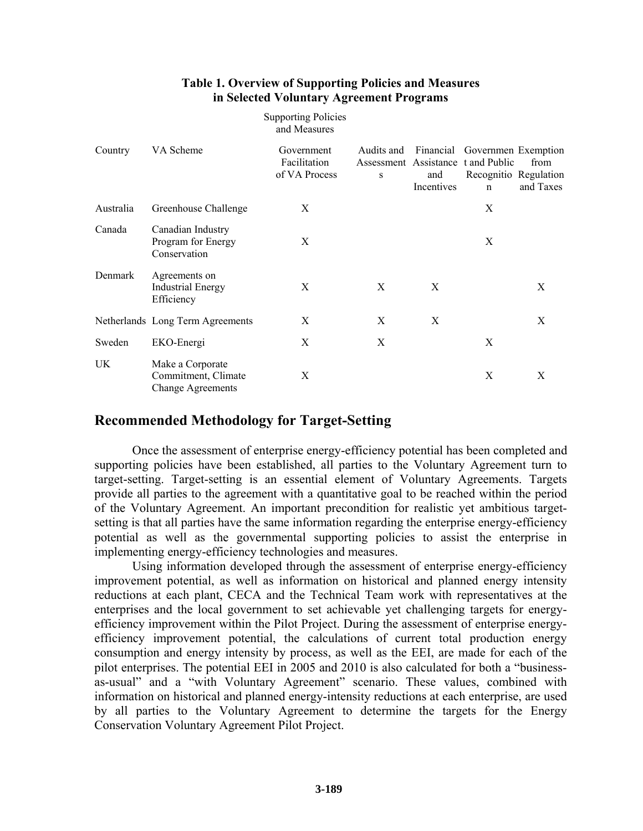#### **Table 1. Overview of Supporting Policies and Measures in Selected Voluntary Agreement Programs**

Supporting Policies

|           |                                                                     | and Measures                                |   |                   |                                                                                                                        |                   |
|-----------|---------------------------------------------------------------------|---------------------------------------------|---|-------------------|------------------------------------------------------------------------------------------------------------------------|-------------------|
| Country   | VA Scheme                                                           | Government<br>Facilitation<br>of VA Process | S | and<br>Incentives | Audits and Financial Governmen Exemption<br>Assessment Assistance t and Public<br>Recognitio Regulation<br>$\mathbf n$ | from<br>and Taxes |
| Australia | Greenhouse Challenge                                                | X                                           |   |                   | X                                                                                                                      |                   |
| Canada    | Canadian Industry<br>Program for Energy<br>Conservation             | X                                           |   |                   | X                                                                                                                      |                   |
| Denmark   | Agreements on<br><b>Industrial Energy</b><br>Efficiency             | X                                           | X | X                 |                                                                                                                        | X                 |
|           | Netherlands Long Term Agreements                                    | Χ                                           | X | X                 |                                                                                                                        | X                 |
| Sweden    | EKO-Energi                                                          | X                                           | X |                   | X                                                                                                                      |                   |
| UK.       | Make a Corporate<br>Commitment, Climate<br><b>Change Agreements</b> | X                                           |   |                   | X                                                                                                                      | X                 |

### **Recommended Methodology for Target-Setting**

Once the assessment of enterprise energy-efficiency potential has been completed and supporting policies have been established, all parties to the Voluntary Agreement turn to target-setting. Target-setting is an essential element of Voluntary Agreements. Targets provide all parties to the agreement with a quantitative goal to be reached within the period of the Voluntary Agreement. An important precondition for realistic yet ambitious targetsetting is that all parties have the same information regarding the enterprise energy-efficiency potential as well as the governmental supporting policies to assist the enterprise in implementing energy-efficiency technologies and measures.

Using information developed through the assessment of enterprise energy-efficiency improvement potential, as well as information on historical and planned energy intensity reductions at each plant, CECA and the Technical Team work with representatives at the enterprises and the local government to set achievable yet challenging targets for energyefficiency improvement within the Pilot Project. During the assessment of enterprise energyefficiency improvement potential, the calculations of current total production energy consumption and energy intensity by process, as well as the EEI, are made for each of the pilot enterprises. The potential EEI in 2005 and 2010 is also calculated for both a "businessas-usual" and a "with Voluntary Agreement" scenario. These values, combined with information on historical and planned energy-intensity reductions at each enterprise, are used by all parties to the Voluntary Agreement to determine the targets for the Energy Conservation Voluntary Agreement Pilot Project.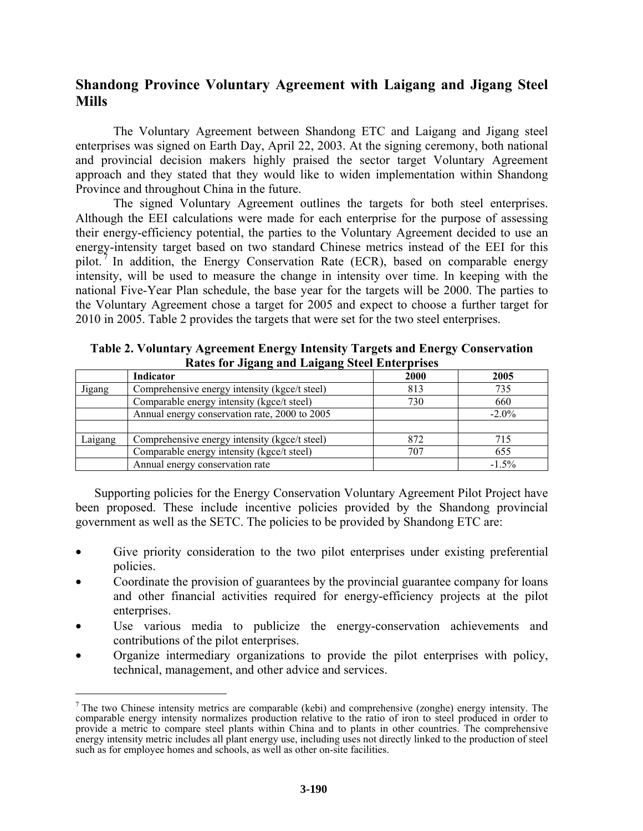# **Shandong Province Voluntary Agreement with Laigang and Jigang Steel Mills**

The Voluntary Agreement between Shandong ETC and Laigang and Jigang steel enterprises was signed on Earth Day, April 22, 2003. At the signing ceremony, both national and provincial decision makers highly praised the sector target Voluntary Agreement approach and they stated that they would like to widen implementation within Shandong Province and throughout China in the future.

The signed Voluntary Agreement outlines the targets for both steel enterprises. Although the EEI calculations were made for each enterprise for the purpose of assessing their energy-efficiency potential, the parties to the Voluntary Agreement decided to use an energy-intensity target based on two standard Chinese metrics instead of the EEI for this pilot. 7 In addition, the Energy Conservation Rate (ECR), based on comparable energy intensity, will be used to measure the change in intensity over time. In keeping with the national Five-Year Plan schedule, the base year for the targets will be 2000. The parties to the Voluntary Agreement chose a target for 2005 and expect to choose a further target for 2010 in 2005. Table 2 provides the targets that were set for the two steel enterprises.

|         | Indicator                                     | 2000 | 2005     |
|---------|-----------------------------------------------|------|----------|
| Jigang  | Comprehensive energy intensity (kgce/t steel) | 813  | 735      |
|         | Comparable energy intensity (kgce/t steel)    | 730  | 660      |
|         | Annual energy conservation rate, 2000 to 2005 |      | $-2.0\%$ |
|         |                                               |      |          |
| Laigang | Comprehensive energy intensity (kgce/t steel) | 872  | 715      |
|         | Comparable energy intensity (kgce/t steel)    | 707  | 655      |
|         | Annual energy conservation rate               |      | $-1.5%$  |

**Table 2. Voluntary Agreement Energy Intensity Targets and Energy Conservation Rates for Jigang and Laigang Steel Enterprises** 

Supporting policies for the Energy Conservation Voluntary Agreement Pilot Project have been proposed. These include incentive policies provided by the Shandong provincial government as well as the SETC. The policies to be provided by Shandong ETC are:

- Give priority consideration to the two pilot enterprises under existing preferential policies.
- Coordinate the provision of guarantees by the provincial guarantee company for loans and other financial activities required for energy-efficiency projects at the pilot enterprises.
- Use various media to publicize the energy-conservation achievements and contributions of the pilot enterprises.
- Organize intermediary organizations to provide the pilot enterprises with policy, technical, management, and other advice and services.

 $\overline{a}$ 

<sup>&</sup>lt;sup>7</sup> The two Chinese intensity metrics are comparable (kebi) and comprehensive (zonghe) energy intensity. The comparable energy intensity normalizes production relative to the ratio of iron to steel produced in order to provide a metric to compare steel plants within China and to plants in other countries. The comprehensive energy intensity metric includes all plant energy use, including uses not directly linked to the production of steel such as for employee homes and schools, as well as other on-site facilities.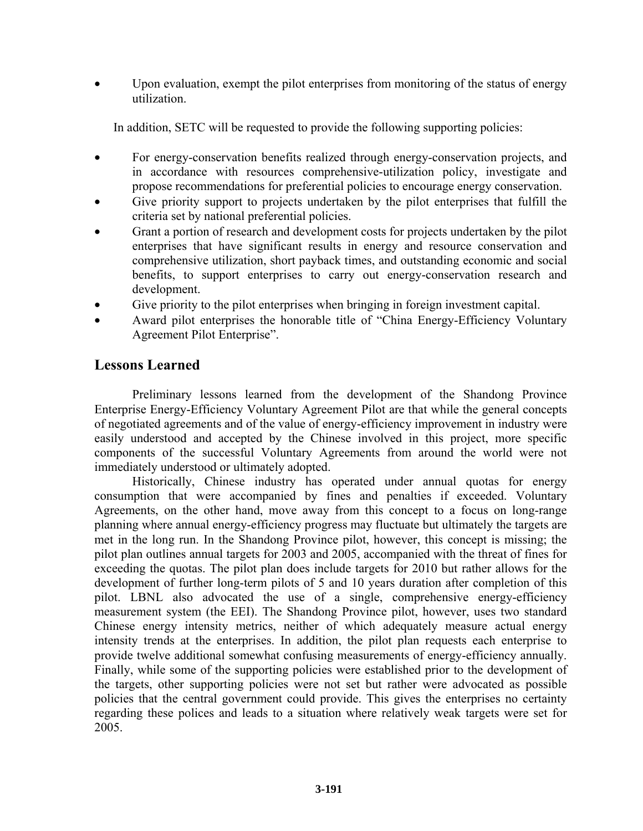Upon evaluation, exempt the pilot enterprises from monitoring of the status of energy utilization.

In addition, SETC will be requested to provide the following supporting policies:

- For energy-conservation benefits realized through energy-conservation projects, and in accordance with resources comprehensive-utilization policy, investigate and propose recommendations for preferential policies to encourage energy conservation.
- Give priority support to projects undertaken by the pilot enterprises that fulfill the criteria set by national preferential policies.
- Grant a portion of research and development costs for projects undertaken by the pilot enterprises that have significant results in energy and resource conservation and comprehensive utilization, short payback times, and outstanding economic and social benefits, to support enterprises to carry out energy-conservation research and development.
- Give priority to the pilot enterprises when bringing in foreign investment capital.
- Award pilot enterprises the honorable title of "China Energy-Efficiency Voluntary" Agreement Pilot Enterprise".

# **Lessons Learned**

Preliminary lessons learned from the development of the Shandong Province Enterprise Energy-Efficiency Voluntary Agreement Pilot are that while the general concepts of negotiated agreements and of the value of energy-efficiency improvement in industry were easily understood and accepted by the Chinese involved in this project, more specific components of the successful Voluntary Agreements from around the world were not immediately understood or ultimately adopted.

Historically, Chinese industry has operated under annual quotas for energy consumption that were accompanied by fines and penalties if exceeded. Voluntary Agreements, on the other hand, move away from this concept to a focus on long-range planning where annual energy-efficiency progress may fluctuate but ultimately the targets are met in the long run. In the Shandong Province pilot, however, this concept is missing; the pilot plan outlines annual targets for 2003 and 2005, accompanied with the threat of fines for exceeding the quotas. The pilot plan does include targets for 2010 but rather allows for the development of further long-term pilots of 5 and 10 years duration after completion of this pilot. LBNL also advocated the use of a single, comprehensive energy-efficiency measurement system (the EEI). The Shandong Province pilot, however, uses two standard Chinese energy intensity metrics, neither of which adequately measure actual energy intensity trends at the enterprises. In addition, the pilot plan requests each enterprise to provide twelve additional somewhat confusing measurements of energy-efficiency annually. Finally, while some of the supporting policies were established prior to the development of the targets, other supporting policies were not set but rather were advocated as possible policies that the central government could provide. This gives the enterprises no certainty regarding these polices and leads to a situation where relatively weak targets were set for 2005.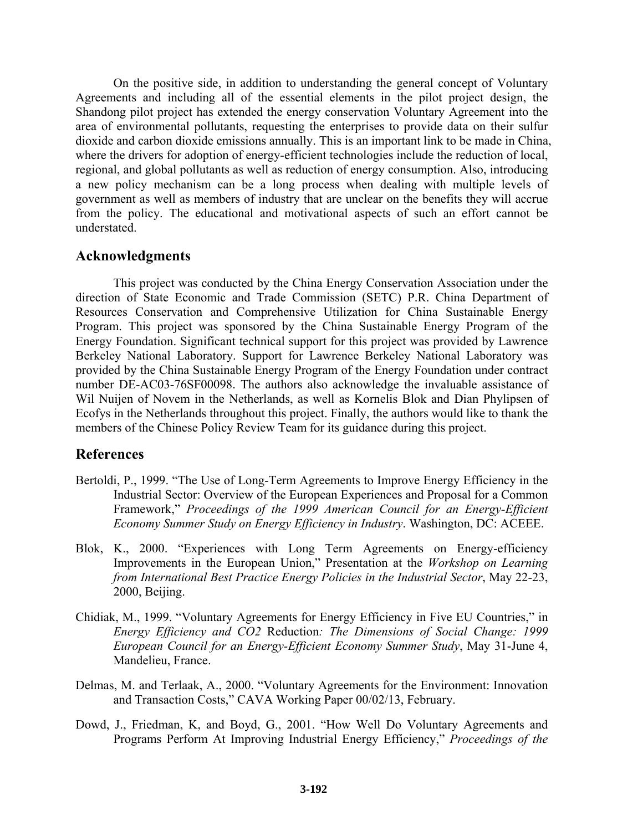On the positive side, in addition to understanding the general concept of Voluntary Agreements and including all of the essential elements in the pilot project design, the Shandong pilot project has extended the energy conservation Voluntary Agreement into the area of environmental pollutants, requesting the enterprises to provide data on their sulfur dioxide and carbon dioxide emissions annually. This is an important link to be made in China, where the drivers for adoption of energy-efficient technologies include the reduction of local, regional, and global pollutants as well as reduction of energy consumption. Also, introducing a new policy mechanism can be a long process when dealing with multiple levels of government as well as members of industry that are unclear on the benefits they will accrue from the policy. The educational and motivational aspects of such an effort cannot be understated.

#### **Acknowledgments**

This project was conducted by the China Energy Conservation Association under the direction of State Economic and Trade Commission (SETC) P.R. China Department of Resources Conservation and Comprehensive Utilization for China Sustainable Energy Program. This project was sponsored by the China Sustainable Energy Program of the Energy Foundation. Significant technical support for this project was provided by Lawrence Berkeley National Laboratory. Support for Lawrence Berkeley National Laboratory was provided by the China Sustainable Energy Program of the Energy Foundation under contract number DE-AC03-76SF00098. The authors also acknowledge the invaluable assistance of Wil Nuijen of Novem in the Netherlands, as well as Kornelis Blok and Dian Phylipsen of Ecofys in the Netherlands throughout this project. Finally, the authors would like to thank the members of the Chinese Policy Review Team for its guidance during this project.

### **References**

- Bertoldi, P., 1999. "The Use of Long-Term Agreements to Improve Energy Efficiency in the Industrial Sector: Overview of the European Experiences and Proposal for a Common Framework,î *Proceedings of the 1999 American Council for an Energy-Efficient Economy Summer Study on Energy Efficiency in Industry*. Washington, DC: ACEEE.
- Blok, K., 2000. "Experiences with Long Term Agreements on Energy-efficiency Improvements in the European Union," Presentation at the *Workshop on Learning from International Best Practice Energy Policies in the Industrial Sector*, May 22-23, 2000, Beijing.
- Chidiak, M., 1999. "Voluntary Agreements for Energy Efficiency in Five EU Countries," in *Energy Efficiency and CO2* Reduction*: The Dimensions of Social Change: 1999 European Council for an Energy-Efficient Economy Summer Study*, May 31-June 4, Mandelieu, France.
- Delmas, M. and Terlaak, A., 2000. "Voluntary Agreements for the Environment: Innovation and Transaction Costs," CAVA Working Paper 00/02/13, February.
- Dowd, J., Friedman, K, and Boyd, G., 2001. "How Well Do Voluntary Agreements and Programs Perform At Improving Industrial Energy Efficiency," *Proceedings of the*